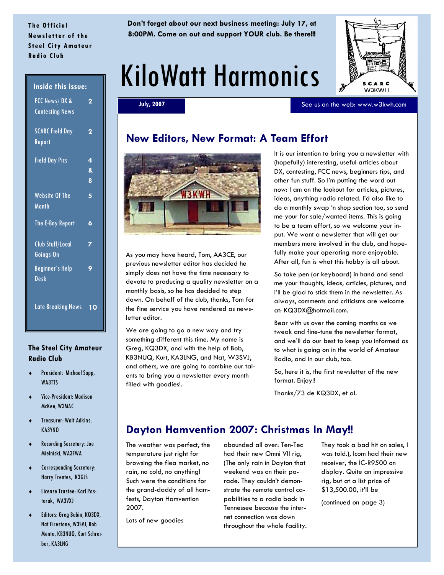### **The Official Newsletter of the Steel City Amateur Radio Club**

**Don't forget about our next business meeting: July 17, at 8:00PM. Come on out and support YOUR club. Be there!!!** 

# KiloWatt Harmonics



See us on the web: www.w3kwh.com

**July, 2007** 

### **New Editors, New Format: A Team Effort**



As you may have heard, Tom, AA3CE, our previous newsletter editor has decided he simply does not have the time necessary to devote to producing a quality newsletter on a monthly basis, so he has decided to step down. On behalf of the club, thanks, Tom for the fine service you have rendered as newsletter editor.

We are going to go a new way and try something different this time. My name is Greg, KQ3DX, and with the help of Bob, KB3NUQ, Kurt, KA3LNG, and Nat, W3SVJ, and others, we are going to combine our talents to bring you a newsletter every month filled with goodies!.

It is our intention to bring you a newsletter with (hopefully) interesting, useful articles about DX, contesting, FCC news, beginners tips, and other fun stuff. So I'm putting the word out now: I am on the lookout for articles, pictures, ideas, anything radio related. I'd also like to do a monthly swap 'n shop section too, so send me your for sale/wanted items. This is going to be a team effort, so we welcome your input. We want a newsletter that will get our members more involved in the club, and hopefully make your operating more enjoyable. After all, fun is what this hobby is all about.

So take pen (or keyboard) in hand and send me your thoughts, ideas, articles, pictures, and I'll be glad to stick them in the newsletter. As always, comments and criticisms are welcome at: KQ3DX@hotmail.com.

Bear with us over the coming months as we tweak and fine-tune the newsletter format, and we'll do our best to keep you informed as to what is going on in the world of Amateur Radio, and in our club, too.

So, here it is, the first newsletter of the new format. Enjoy!!

Thanks/73 de KQ3DX, et al.

### **Dayton Hamvention 2007: Christmas In May!!**

The weather was perfect, the temperature just right for browsing the flea market, no rain, no cold, no anything! Such were the conditions for the grand-daddy of all hamfests, Dayton Hamvention 2007.

abounded all over: Ten-Tec had their new Omni VII rig, (The only rain in Dayton that weekend was on their parade. They couldn't demonstrate the remote control capabilities to a radio back in Tennessee because the internet connection was down throughout the whole facility.

They took a bad hit on sales, I was told.), Icom had their new receiver, the IC-R9500 on display. Quite an impressive rig, but at a list price of \$13,500.00, it'll be

(continued on page 3)

#### **Inside this issue:**

| FCC News/DX &<br><b>Contesting News</b> | 2           |
|-----------------------------------------|-------------|
| <b>SCARC Field Day</b><br>Report        | 2           |
| <b>Field Day Pics</b>                   | 4<br>&<br>8 |
| <b>Website Of The</b><br>Month          | 5           |
| The E-Bay Report                        | 6           |
| <b>Club Stuff/Local</b><br>Goings-On    | 7           |
| <b>Beginner's Help</b><br>Desk          | 9           |
| Late Breaking News                      | 10          |

### **The Steel City Amateur Radio Club**

- President: Michael Sapp, WA3TTS
- Vice-President: Madison McKee, W3MAC
- Treasurer: Walt Adkins, KA3YNO
- Recording Secretary: Joe Mielnicki, WA3FWA
- Corresponding Secretary: Harry Trentes, K3GJS
- License Trustee: Karl Pastorak, WA3VXJ
- Editors: Greg Babin, KQ3DX, Nat Firestone, W3SVJ, Bob Mente, KB3NUQ, Kurt Schreiber, KA3LNG

Lots of new goodies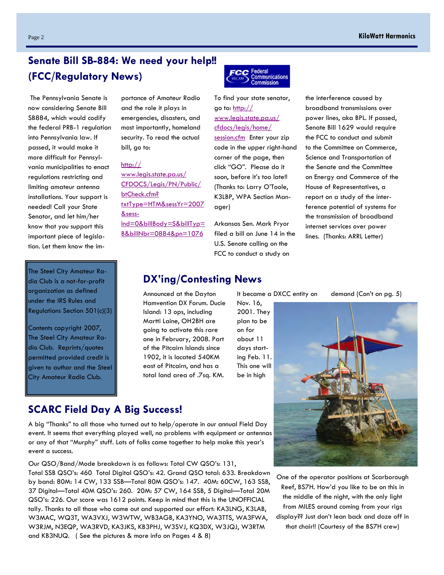## **Senate Bill SB-884: We need your help!! (FCC/Regulatory News)**

 The Pennsylvania Senate is now considering Senate Bill SB884, which would codify the federal PRB-1 regulation into Pennsylvania law. If passed, it would make it more difficult for Pennsylvania municipalities to enact regulations restricting and limiting amateur antenna installations. Your support is needed! Call your State Senator, and let him/her know that you support this important piece of legislation. Let them know the im-

The Steel City Amateur Radio Club is a not-for-profit organization as defined under the IRS Rules and Regulations Section 501(c)(3)

Contents copyright 2007, The Steel City Amateur Radio Club. Reprints/quotes permitted provided credit is given to author and the Steel City Amateur Radio Club.

portance of Amateur Radio and the role it plays in emergencies, disasters, and most importantly, homeland security. To read the actual bill, go to:

### http://

www.legis.state.pa.us/ CFDOCS/Legis/PN/Public/ btCheck.cfm? txtType=HTM&sessYr=2007 &sess-Ind=0&billBody=S&billTyp= B&billNbr=0884&pn=1076

**CC** Federal Communications<br>Commission

To find your state senator, go to:  $\frac{http://}{http://}$ www.legis.state.pa.us/ cfdocs/legis/home/ session.cfm Enter your zip code in the upper right-hand corner of the page, then click "GO". Please do it soon, before it's too late!! (Thanks to: Larry O'Toole, K3LBP, WPA Section Manager)

Arkansas Sen. Mark Pryor filed a bill on June 14 in the U.S. Senate calling on the FCC to conduct a study on

the interference caused by broadband transmissions over power lines, aka BPL. If passed, Senate Bill 1629 would require the FCC to conduct and submit to the Committee on Commerce, Science and Transportation of the Senate and the Committee on Energy and Commerce of the House of Representatives, a report on a study of the interference potential of systems for the transmission of broadband internet services over power lines. (Thanks: ARRL Letter)

### **DX'ing/Contesting News**

Announced at the Dayton lt became a DXCC entity on demand (Con't on pg. 5) Hamvention DX Forum. Ducie Island: 13 ops, including Martti Laine, OH2BH are going to activate this rare one in February, 2008. Part of the Pitcairn Islands since 1902, it is located 540KM east of Pitcairn, and has a total land area of .7sq. KM.

Nov. 16, 2001. They plan to be on for about 11 days starting Feb. 11. This one will be in high

One of the operator positions at Scarborough Reef, BS7H. How'd you like to be on this in the middle of the night, with the only light from MILES around coming from your rigs display?? Just don't lean back and doze off in that chair!! (Courtesy of the BS7H crew)

**SCARC Field Day A Big Success!** 

A big "Thanks" to all those who turned out to help/operate in our annual Field Day event. It seems that everything played well, no problems with equipment or antennas or any of that "Murphy" stuff. Lots of folks came together to help make this year's event a success.

Our QSO/Band/Mode breakdown is as follows: Total CW QSO's: 131,

Total SSB QSO's: 460 Total Digital QSO's: 42. Grand QSO total: 633. Breakdown by band: 80M: 14 CW, 133 SSB—Total 80M QSO's: 147. 40M: 60CW, 163 SSB, 37 Digital—Total 40M QSO's: 260. 20M: 57 CW, 164 SSB, 5 Digital—Total 20M QSO's: 226. Our score was 1612 points. Keep in mind that this is the UNOFFICIAL tally. Thanks to all those who came out and supported our effort: KA3LNG, K3LAB, W3MAC, WQ3T, WA3VXJ, W3WTW, WB3AGB, KA3YNO, WA3TTS, WA3FWA, W3RJM, N3EQP, WA3RVD, KA3JKS, KB3PHJ, W3SVJ, KQ3DX, W3JQJ, W3RTM and KB3NUQ. ( See the pictures & more info on Pages 4 & 8)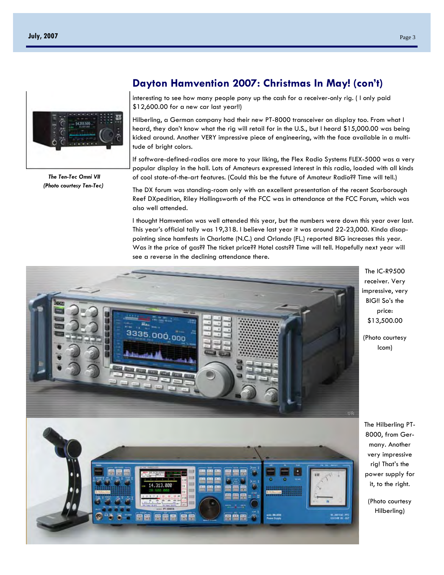

 *The Ten-Tec Omni VII (Photo courtesy Ten-Tec)* 

### **Dayton Hamvention 2007: Christmas In May! (con't)**

interesting to see how many people pony up the cash for a receiver-only rig. ( I only paid \$12,600.00 for a new car last year!!)

Hilberling, a German company had their new PT-8000 transceiver on display too. From what I heard, they don't know what the rig will retail for in the U.S., but I heard \$15,000.00 was being kicked around. Another VERY impressive piece of engineering, with the face available in a multitude of bright colors.

If software-defined-radios are more to your liking, the Flex Radio Systems FLEX-5000 was a very popular display in the hall. Lots of Amateurs expressed interest in this radio, loaded with all kinds of cool state-of-the-art features. (Could this be the future of Amateur Radio?? Time will tell.)

The DX forum was standing-room only with an excellent presentation of the recent Scarborough Reef DXpedition, Riley Hollingsworth of the FCC was in attendance at the FCC Forum, which was also well attended.

I thought Hamvention was well attended this year, but the numbers were down this year over last. This year's official tally was 19,318. I believe last year it was around 22-23,000. Kinda disappointing since hamfests in Charlotte (N.C.) and Orlando (FL.) reported BIG increases this year. Was it the price of gas?? The ticket price?? Hotel costs?? Time will tell. Hopefully next year will see a reverse in the declining attendance there.



The IC-R9500 receiver. Very impressive, very BIG!! So's the price: \$13,500.00

(Photo courtesy Icom)

The Hilberling PT-8000, from Germany. Another very impressive rig! That's the power supply for it, to the right.

(Photo courtesy Hilberling)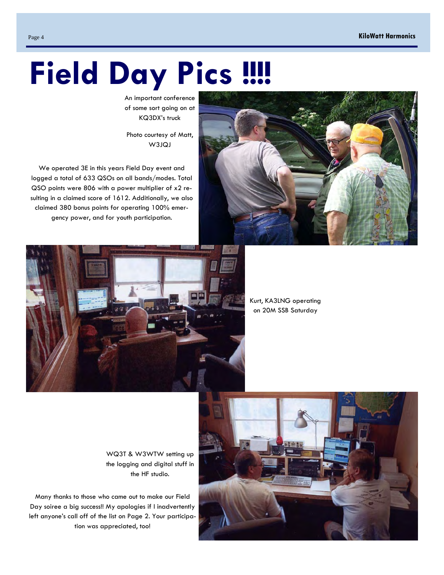# **Field Day Pics !!!!**

An important conference of some sort going on at KQ3DX's truck

Photo courtesy of Matt, W3JQJ

We operated 3E in this years Field Day event and logged a total of 633 QSOs on all bands/modes. Total QSO points were 806 with a power multiplier of x2 resulting in a claimed score of 1612. Additionally, we also claimed 380 bonus points for operating 100% emergency power, and for youth participation.





Kurt, KA3LNG operating on 20M SSB Saturday

WQ3T & W3WTW setting up the logging and digital stuff in the HF studio.

Many thanks to those who came out to make our Field Day soiree a big success!! My apologies if I inadvertently left anyone's call off of the list on Page 2. Your participation was appreciated, too!

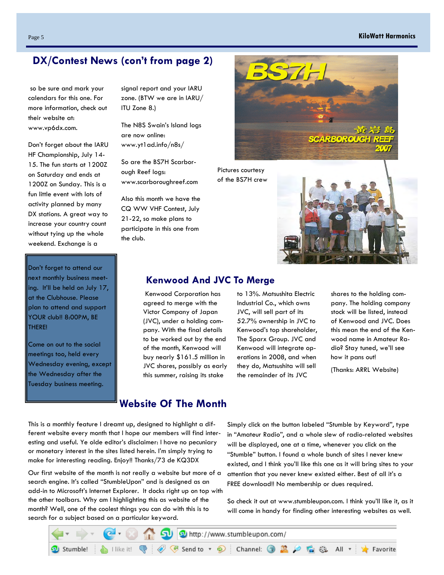### Page 5 **KiloWatt Harmonics**

### **DX/Contest News (con't from page 2)**

 so be sure and mark your calendars for this one. For more information, check out their website at: www.vp6dx.com.

Don't forget about the IARU HF Championship, July 14- 15. The fun starts at 1200Z on Saturday and ends at 1200Z on Sunday. This is a fun little event with lots of activity planned by many DX stations. A great way to increase your country count without tying up the whole weekend. Exchange is a

Don't forget to attend our next monthly business meeting. It'll be held on July 17, at the Clubhouse. Please plan to attend and support YOUR club!! 8:00PM, BE THERE!

Come on out to the social meetings too, held every Wednesday evening, except the Wednesday after the Tuesday business meeting.

signal report and your IARU zone. (BTW we are in IARU/ ITU Zone 8.)

The N8S Swain's Island logs are now online: www.yt1ad.info/n8s/

So are the BS7H Scarborough Reef logs: www.scarboroughreef.com

Also this month we have the CQ WW VHF Contest, July 21-22, so make plans to participate in this one from the club.



Pictures courtesy of the BS7H crew



### **Kenwood And JVC To Merge**

 Kenwood Corporation has agreed to merge with the Victor Company of Japan (JVC), under a holding company. With the final details to be worked out by the end of the month, Kenwood will buy nearly \$161.5 million in JVC shares, possibly as early this summer, raising its stake

to 13%. Matsushita Electric Industrial Co., which owns JVC, will sell part of its 52.7% ownership in JVC to Kenwood's top shareholder, The Sparx Group. JVC and Kenwood will integrate operations in 2008, and when they do, Matsushita will sell the remainder of its JVC

shares to the holding company. The holding company stock will be listed, instead of Kenwood and JVC. Does this mean the end of the Kenwood name in Amateur Radio? Stay tuned, we'll see how it pans out!

(Thanks: ARRL Website)

### **Website Of The Month**

This is a monthly feature I dreamt up, designed to highlight a different website every month that I hope our members will find interesting and useful. Ye olde editor's disclaimer: I have no pecuniary or monetary interest in the sites listed herein. I'm simply trying to make for interesting reading. Enjoy!! Thanks/73 de KQ3DX

Our first website of the month is not really a website but more of a search engine. It's called "StumbleUpon" and is designed as an add-in to Microsoft's Internet Explorer. It docks right up on top with the other toolbars. Why am I highlighting this as website of the month? Well, one of the coolest things you can do with this is to search for a subject based on a particular keyword.

Simply click on the button labeled "Stumble by Keyword", type in "Amateur Radio", and a whole slew of radio-related websites will be displayed, one at a time, whenever you click on the "Stumble" button. I found a whole bunch of sites I never knew existed, and I think you'll like this one as it will bring sites to your attention that you never knew existed either. Best of all it's a FREE download!! No membership or dues required.

So check it out at www.stumbleupon.com. I think you'll like it, as it will come in handy for finding other interesting websites as well.

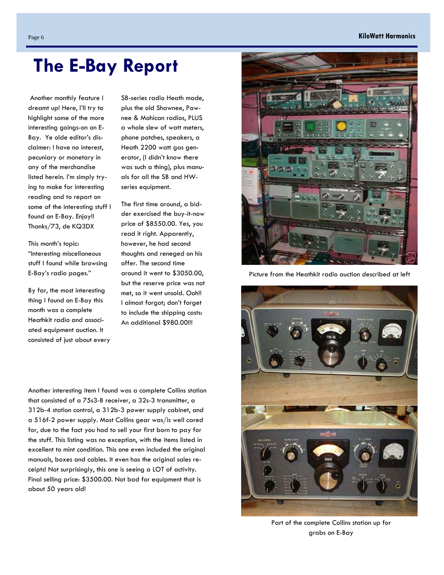### Page 6 **KiloWatt Harmonics**

 Another monthly feature I dreamt up! Here, I'll try to highlight some of the more interesting goings-on on E-Bay. Ye olde editor's disclaimer: I have no interest, pecuniary or monetary in any of the merchandise listed herein. I'm simply trying to make for interesting reading and to report on some of the interesting stuff I found on E-Bay. Enjoy!! Thanks/73, de KQ3DX

This month's topic: "Interesting miscellaneous stuff I found while browsing E-Bay's radio pages."

By far, the most interesting thing I found on E-Bay this month was a complete Heathkit radio and associated equipment auction. It consisted of just about every

SB-series radio Heath made, plus the old Shawnee, Pawnee & Mohican radios, PLUS a whole slew of watt meters, phone patches, speakers, a Heath 2200 watt gas generator, (I didn't know there was such a thing), plus manuals for all the SB and HWseries equipment.

The first time around, a bidder exercised the buy-it-now price of \$8550.00. Yes, you read it right. Apparently, however, he had second thoughts and reneged on his offer. The second time around it went to \$3050.00, but the reserve price was not met, so it went unsold. Ooh!! I almost forgot; don't forget to include the shipping costs: An additional \$980.00!!!

Another interesting item I found was a complete Collins station that consisted of a 75s3-B receiver, a 32s-3 transmitter, a 312b-4 station control, a 312b-3 power supply cabinet, and a 516f-2 power supply. Most Collins gear was/is well cared for, due to the fact you had to sell your first born to pay for the stuff. This listing was no exception, with the items listed in excellent to mint condition. This one even included the original manuals, boxes and cables. It even has the original sales receipts! Not surprisingly, this one is seeing a LOT of activity. Final selling price: \$3500.00. Not bad for equipment that is about 50 years old!

Picture from the Heathkit radio auction described at left



Part of the complete Collins station up for grabs on E-Bay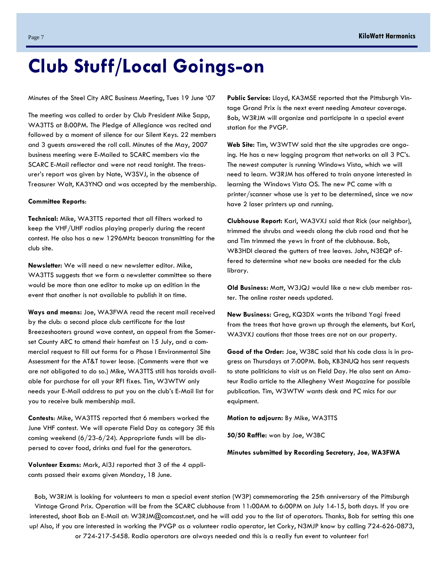# **Club Stuff/Local Goings-on**

Minutes of the Steel City ARC Business Meeting, Tues 19 June '07

The meeting was called to order by Club President Mike Sapp, WA3TTS at 8:00PM. The Pledge of Allegiance was recited and followed by a moment of silence for our Silent Keys. 22 members and 3 guests answered the roll call. Minutes of the May, 2007 business meeting were E-Mailed to SCARC members via the SCARC E-Mail reflector and were not read tonight. The treasurer's report was given by Nate, W3SVJ, in the absence of Treasurer Walt, KA3YNO and was accepted by the membership.

#### **Committee Reports**:

**Technical:** Mike, WA3TTS reported that all filters worked to keep the VHF/UHF radios playing properly during the recent contest. He also has a new 1296MHz beacon transmitting for the club site.

**Newsletter:** We will need a new newsletter editor. Mike, WA3TTS suggests that we form a newsletter committee so there would be more than one editor to make up an edition in the event that another is not available to publish it on time.

**Ways and means:** Joe, WA3FWA read the recent mail received by the club: a second place club certificate for the last Breezeshooters ground wave contest, an appeal from the Somerset County ARC to attend their hamfest on 15 July, and a commercial request to fill out forms for a Phase I Environmental Site Assessment for the AT&T tower lease. (Comments were that we are not obligated to do so.) Mike, WA3TTS still has toroids available for purchase for all your RFI fixes. Tim, W3WTW only needs your E-Mail address to put you on the club's E-Mail list for you to receive bulk membership mail.

**Contests**: Mike, WA3TTS reported that 6 members worked the June VHF contest. We will operate Field Day as category 3E this coming weekend  $(6/23-6/24)$ . Appropriate funds will be dispersed to cover food, drinks and fuel for the generators.

**Volunteer Exams:** Mark, AI3J reported that 3 of the 4 applicants passed their exams given Monday, 18 June.

**Public Service:** Lloyd, KA3MSE reported that the Pittsburgh Vintage Grand Prix is the next event needing Amateur coverage. Bob, W3RJM will organize and participate in a special event station for the PVGP.

**Web Site:** Tim, W3WTW said that the site upgrades are ongoing. He has a new logging program that networks on all 3 PC's. The newest computer is running Windows Vista, which we will need to learn. W3RJM has offered to train anyone interested in learning the Windows Vista OS. The new PC came with a printer/scanner whose use is yet to be determined, since we now have 2 laser printers up and running.

**Clubhouse Report:** Karl, WA3VXJ said that Rick (our neighbor), trimmed the shrubs and weeds along the club road and that he and Tim trimmed the yews in front of the clubhouse. Bob, WB3HDI cleared the gutters of tree leaves. John, N3EQP offered to determine what new books are needed for the club library.

**Old Business:** Matt, W3JQJ would like a new club member roster. The online roster needs updated.

**New Business:** Greg, KQ3DX wants the triband Yagi freed from the trees that have grown up through the elements, but Karl, WA3VXJ cautions that those trees are not on our property.

**Good of the Order:** Joe, W3BC said that his code class is in progress on Thursdays at 7:00PM. Bob, KB3NUQ has sent requests to state politicians to visit us on Field Day. He also sent an Amateur Radio article to the Allegheny West Magazine for possible publication. Tim, W3WTW wants desk and PC mics for our equipment.

**Motion to adjourn:** By Mike, WA3TTS

**50/50 Raffle:** won by Joe, W3BC

**Minutes submitted by Recording Secretary, Joe, WA3FWA** 

Bob, W3RJM is looking for volunteers to man a special event station (W3P) commemorating the 25th anniversary of the Pittsburgh Vintage Grand Prix. Operation will be from the SCARC clubhouse from 11:00AM to 6:00PM on July 14-15, both days. If you are interested, shoot Bob an E-Mail at: W3RJM@comcast.net, and he will add you to the list of operators. Thanks, Bob for setting this one up! Also, if you are interested in working the PVGP as a volunteer radio operator, let Corky, N3MJP know by calling 724-626-0873, or 724-217-5458. Radio operators are always needed and this is a really fun event to volunteer for!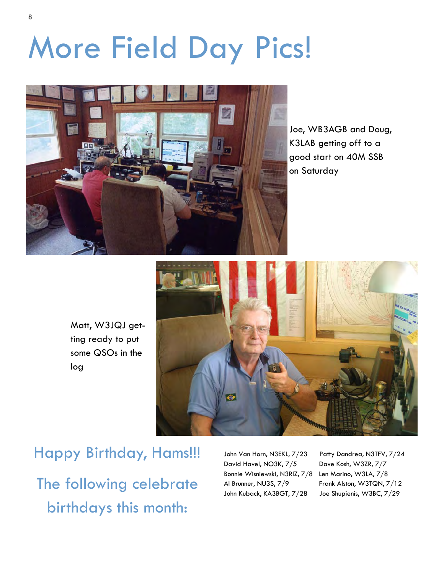# More Field Day Pics!

![](_page_7_Picture_1.jpeg)

Joe, WB3AGB and Doug, K3LAB getting off to a good start on 40M SSB on Saturday

Matt, W3JQJ getting ready to put some QSOs in the log

![](_page_7_Picture_4.jpeg)

Happy Birthday, Hams!!! The following celebrate birthdays this month:

David Havel, NO3K, 7/5 Dave Kosh, W3ZR, 7/7 Bonnie Wisniewski, N3RIZ, 7/8 Len Marino, W3LA, 7/8 Al Brunner, NU3S, 7/9 Frank Alston, W3TQN, 7/12 John Kuback, KA3BGT, 7/28 Joe Shupienis, W3BC, 7/29

John Van Horn, N3EKL, 7/23 Patty Dandrea, N3TFV, 7/24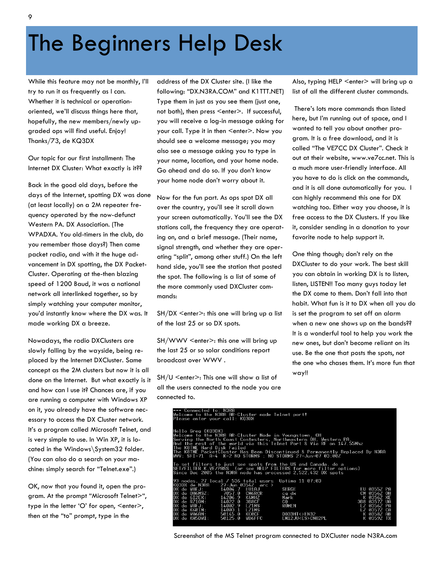# The Beginners Help Desk

While this feature may not be monthly, I'll try to run it as frequently as I can. Whether it is technical or operationoriented, we'll discuss things here that, hopefully, the new members/newly upgraded ops will find useful. Enjoy! Thanks/73, de KQ3DX

Our topic for our first installment: The Internet DX Cluster: What exactly is it??

Back in the good old days, before the days of the Internet, spotting DX was done (at least locally) on a 2M repeater frequency operated by the now-defunct Western PA. DX Association. (The WPADXA. You old-timers in the club, do you remember those days?) Then came packet radio, and with it the huge advancement in DX spotting, the DX Packet-Cluster. Operating at the-then blazing speed of 1200 Baud, it was a national network all interlinked together, so by simply watching your computer monitor, you'd instantly know where the DX was. It made working DX a breeze.

Nowadays, the radio DXClusters are slowly falling by the wayside, being replaced by the Internet DXCluster. Same concept as the 2M clusters but now it is all done on the Internet. But what exactly is it and how can I use it? Chances are, if you are running a computer with Windows XP on it, you already have the software necessary to access the DX Cluster network. It's a program called Microsoft Telnet, and is very simple to use. In Win XP, it is located in the Windows\System32 folder. (You can also do a search on your machine: simply search for "Telnet.exe".)

OK, now that you found it, open the program. At the prompt "Microsoft Telnet>", type in the letter 'O' for open, <enter>, then at the "to" prompt, type in the

address of the DX Cluster site. (I like the following: "DX.N3RA.COM" and K1TTT.NET) Type them in just as you see them (just one, not both), then press <enter>. If successful, you will receive a log-in message asking for your call. Type it in then <enter>. Now you should see a welcome message; you may also see a message asking you to type in your name, location, and your home node. Go ahead and do so. If you don't know your home node don't worry about it.

Now for the fun part. As ops spot DX all over the country, you'll see it scroll down your screen automatically. You'll see the DX stations call, the frequency they are operating on, and a brief message. (Their name, signal strength, and whether they are operating "split", among other stuff.) On the left hand side, you'll see the station that posted the spot. The following is a list of some of the more commonly used DXCluster commands:

SH/DX <enter>: this one will bring up a list of the last 25 or so DX spots.

SH/WWV <enter>: this one will bring up the last 25 or so solar conditions report broadcast over WWV .

SH/U <enter>: This one will show a list of all the users connected to the node you are connected to.

Also, typing HELP <enter> will bring up a list of all the different cluster commands.

 There's lots more commands than listed here, but I'm running out of space, and I wanted to tell you about another program. It is a free download, and it is called "The VE7CC DX Cluster". Check it out at their website, www.ve7cc.net. This is a much more user-friendly interface. All you have to do is click on the commands, and it is all done automatically for you. I can highly recommend this one for DX watching too. Either way you choose, it is free access to the DX Clusters. If you like it, consider sending in a donation to your favorite node to help support it.

One thing though; don't rely on the DXCluster to do your work. The best skill you can obtain in working DX is to listen, listen, LISTEN!! Too many guys today let the DX come to them. Don't fall into that habit. What fun is it to DX when all you do is set the program to set off an alarm when a new one shows up on the bands?? It is a wonderful tool to help you work the new ones, but don't become reliant on its use. Be the one that posts the spots, not the one who chases them. It's more fun that way!!

| *** Connected to: N3RA<br>Welcome to the N3RA AR-Cluster node Telnet port!<br>Please enter vour call: KO3DX                                                                                                                                                                                                                                                                                                 |                                                                                                                       |                                                                                                                    |  |  |  |
|-------------------------------------------------------------------------------------------------------------------------------------------------------------------------------------------------------------------------------------------------------------------------------------------------------------------------------------------------------------------------------------------------------------|-----------------------------------------------------------------------------------------------------------------------|--------------------------------------------------------------------------------------------------------------------|--|--|--|
| Hello Greg (KO3DX)<br>Welcome to the N3RA AR-Cluster Node in Youngstown, OH<br>Serving the North Coast Contesters, Northeastern OH, Western PA,<br>And the rest of the world via this Telnet Port & Vi <u>a RF on 147.55Mhz</u><br>The K8TME Hard Disk Failed<br>The K8TME PacketCluster Has Been Discontinued & Permanently Replaced By N3RA<br>WWV: SFI=71 A=4 K=2 NO STORMS ; NO STORMS 27-Jun-07 03:00Z |                                                                                                                       |                                                                                                                    |  |  |  |
| To set filters to just see spots from the US and Canada, do a<br>SET/FILTER K.VE/PASS (or see HELP FILTERS for more filter options)<br>Since Dec 2005 the N3RA node has processed 2.522.432 DX spots                                                                                                                                                                                                        |                                                                                                                       |                                                                                                                    |  |  |  |
| 93 nodes, 27 local / 536 total users<br>KO3DX de N3RA     27-Jun 0354Z  arc ><br>DX de W8FJ: 14004.7 EU1AJ<br>DX de OH6MSZ: 7057.0 CM6RCR<br>DX de 6I2EX: 14206.9 K4MHZ<br>DX de RZ10M: 14022.0 3B8CF<br>DX de W8FJ: 14002.9 LZ1MS<br>DX de K6RIM: 14003.1 LZ1MS<br>DX de VA6AN: 50145.0<br>KC0CF<br>DX de KA5DWI:<br>50125.0<br><b>WB6FFC</b>                                                              | Uptime 11 07:03<br>SERGE<br>ca dx<br>Mark<br>C <sub>0</sub><br><b>RUMEN</b><br>D033HT<>EN32<br>EM12JU <es>CN82PL</es> | EU 0355Z PA<br>CM 0356Z OH<br>K 0356Z XE<br>3B8 0357Z UA<br>TZ 03567 PA<br>LZ 0357Z CA<br>K 0358Z AB<br>K 0359Z TX |  |  |  |

Screenshot of the MS Telnet program connected to DXCluster node N3RA.com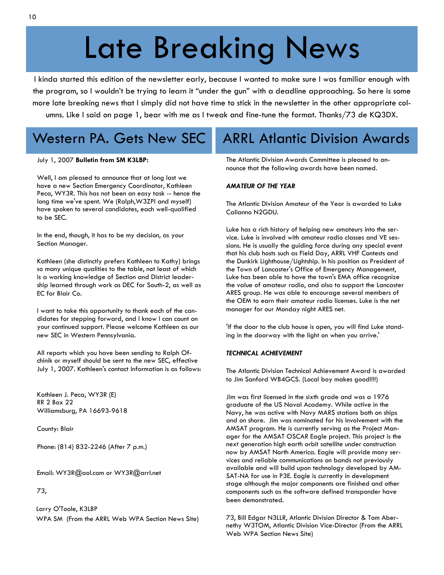# Late Breaking News

I kinda started this edition of the newsletter early, because I wanted to make sure I was familiar enough with the program, so I wouldn't be trying to learn it "under the gun" with a deadline approaching. So here is some more late breaking news that I simply did not have time to stick in the newsletter in the other appropriate columns. Like I said on page 1, bear with me as I tweak and fine-tune the format. Thanks/73 de KQ3DX.

# Western PA. Gets New SEC

#### July 1, 2007 **Bulletin from SM K3LBP:**

Well, I am pleased to announce that at long last we have a new Section Emergency Coordinator, Kathleen Peca, WY3R. This has not been an easy task -- hence the long time we've spent. We (Ralph,W3ZPI and myself) have spoken to several candidates, each well-qualified to be SEC.

In the end, though, it has to be my decision, as your Section Manager.

Kathleen (she distinctly prefers Kathleen to Kathy) brings so many unique qualities to the table, not least of which is a working knowledge of Section and District leadership learned through work as DEC for South-2, as well as EC for Blair Co.

I want to take this opportunity to thank each of the candidates for stepping forward, and I know I can count on your continued support. Please welcome Kathleen as our new SEC in Western Pennsylvania.

All reports which you have been sending to Ralph Ofchinik or myself should be sent to the new SEC, effective July 1, 2007. Kathleen's contact information is as follows:

Kathleen J. Peca, WY3R (E) RR 2 Box 22 Williamsburg, PA 16693-9618

County: Blair

Phone: (814) 832-2246 (After 7 p.m.)

Email: WY3R@aol.com or WY3R@arrl.net

73,

 Larry O'Toole, K3LBP WPA SM (From the ARRL Web WPA Section News Site)

## ARRL Atlantic Division Awards

The Atlantic Division Awards Committee is pleased to announce that the following awards have been named.

#### *AMATEUR OF THE YEAR*

The Atlantic Division Amateur of the Year is awarded to Luke Calianno N2GDU.

Luke has a rich history of helping new amateurs into the service. Luke is involved with amateur radio classes and VE sessions. He is usually the guiding force during any special event that his club hosts such as Field Day, ARRL VHF Contests and the Dunkirk Lighthouse/Lightship. In his position as President of the Town of Lancaster's Office of Emergency Management, Luke has been able to have the town's EMA office recognize the value of amateur radio, and also to support the Lancaster ARES group. He was able to encourage several members of the OEM to earn their amateur radio licenses. Luke is the net manager for our Monday night ARES net.

'If the door to the club house is open, you will find Luke standing in the doorway with the light on when you arrive.'

#### *TECHNICAL ACHIEVEMENT*

The Atlantic Division Technical Achievement Award is awarded to Jim Sanford WB4GCS. (Local boy makes good!!!!)

Jim was first licensed in the sixth grade and was a 1976 graduate of the US Naval Academy. While active in the Navy, he was active with Navy MARS stations both on ships and on shore. Jim was nominated for his involvement with the AMSAT program. He is currently serving as the Project Manager for the AMSAT OSCAR Eagle project. This project is the next generation high earth orbit satellite under construction now by AMSAT North America. Eagle will provide many services and reliable communications on bands not previously available and will build upon technology developed by AM-SAT-NA for use in P3E. Eagle is currently in development stage although the major components are finished and other components such as the software defined transponder have been demonstrated.

73, Bill Edgar N3LLR, Atlantic Division Director & Tom Abernethy W3TOM, Atlantic Division Vice-Director (From the ARRL Web WPA Section News Site)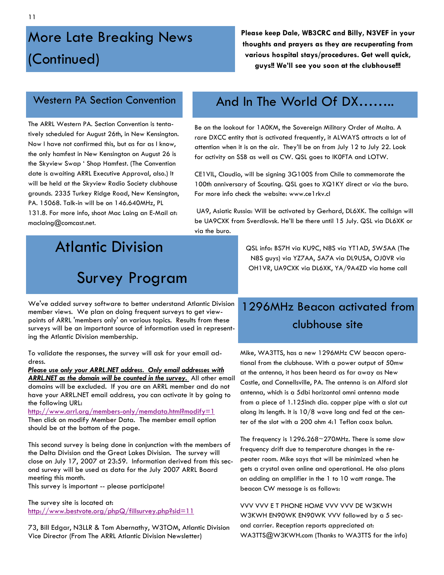# More Late Breaking News (Continued)

**Please keep Dale, WB3CRC and Billy, N3VEF in your thoughts and prayers as they are recuperating from various hospital stays/procedures. Get well quick, guys!! We'll see you soon at the clubhouse!!!** 

### Western PA Section Convention

The ARRL Western PA. Section Convention is tentatively scheduled for August 26th, in New Kensington. Now I have not confirmed this, but as far as I know, the only hamfest in New Kensington on August 26 is the Skyview Swap ' Shop Hamfest. (The Convention date is awaiting ARRL Executive Approval, also.) It will be held at the Skyview Radio Society clubhouse grounds. 2335 Turkey Ridge Road, New Kensington, PA. 15068. Talk-in will be on 146.640MHz, PL 131.8. For more info, shoot Mac Laing an E-Mail at: maclaing@comcast.net.

## And In The World Of DX……..

Be on the lookout for 1A0KM, the Sovereign Military Order of Malta. A rare DXCC entity that is activated frequently, it ALWAYS attracts a lot of attention when it is on the air. They'll be on from July 12 to July 22. Look for activity on SSB as well as CW. QSL goes to IK0FTA and LOTW.

CE1VIL, Claudio, will be signing 3G100S from Chile to commemorate the 100th anniversary of Scouting. QSL goes to XQ1KY direct or via the buro. For more info check the website: www.ce1rkv.cl

 UA9, Asiatic Russia: Will be activated by Gerhard, DL6XK. The callsign will be UA9CXK from Sverdlovsk. He'll be there until 15 July. QSL via DL6XK or via the buro.

# Atlantic Division Survey Program

QSL info: BS7H via KU9C, N8S via YT1AD, 5W5AA (The N8S guys) via YZ7AA, 5A7A via DL9USA, OJ0VR via OH1VR, UA9CXK via DL6XK, YA/9A4ZD via home call

We've added survey software to better understand Atlantic Division member views. We plan on doing frequent surveys to get viewpoints of ARRL 'members only' on various topics. Results from these surveys will be an important source of information used in representing the Atlantic Division membership.

To validate the responses, the survey will ask for your email address.

*Please use only your ARRL.NET address. Only email addresses with ARRL.NET as the domain will be counted in the survey.* All other email domains will be excluded. If you are an ARRL member and do not have your ARRL.NET email address, you can activate it by going to the following URL:

http://www.arrl.org/members-only/memdata.html?modify=1 Then click on modify Member Data. The member email option should be at the bottom of the page.

This second survey is being done in conjunction with the members of the Delta Division and the Great Lakes Division. The survey will close on July 17, 2007 at 23:59. Information derived from this second survey will be used as data for the July 2007 ARRL Board meeting this month. This survey is important -- please participate!

The survey site is located at: http://www.bestvote.org/phpQ/fillsurvey.php?sid=11

73, Bill Edgar, N3LLR & Tom Abernathy, W3TOM, Atlantic Division Vice Director (From The ARRL Atlantic Division Newsletter)

## 1296MHz Beacon activated from clubhouse site

Mike, WA3TTS, has a new 1296MHz CW beacon operational from the clubhouse. With a power output of 50mw at the antenna, it has been heard as far away as New Castle, and Connellsville, PA. The antenna is an Alford slot antenna, which is a 5dbi horizontal omni antenna made from a piece of 1.125inch dia. copper pipe with a slot cut along its length. It is 10/8 wave long and fed at the center of the slot with a 200 ohm 4:1 Teflon coax balun.

The frequency is 1296.268~270MHz. There is some slow frequency drift due to temperature changes in the repeater room. Mike says that will be minimized when he gets a crystal oven online and operational. He also plans on adding an amplifier in the 1 to 10 watt range. The beacon CW message is as follows:

VVV VVV E T PHONE HOME VVV VVV DE W3KWH W3KWH EN90WK EN90WK VVV followed by a 5 second carrier. Reception reports appreciated at: WA3TTS@W3KWH.com (Thanks to WA3TTS for the info)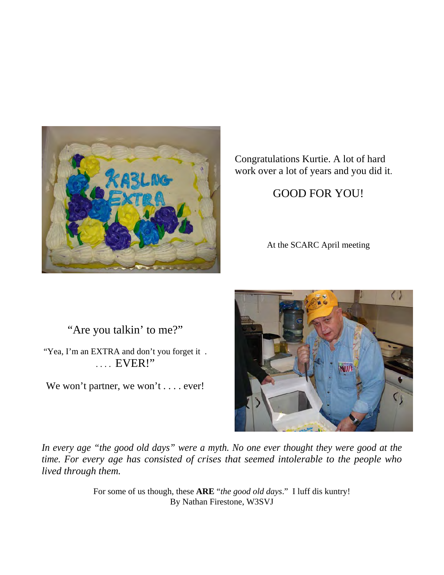![](_page_11_Picture_0.jpeg)

Congratulations Kurtie. A lot of hard work over a lot of years and you did it.

### GOOD FOR YOU!

At the SCARC April meeting

"Are you talkin' to me?"

"Yea, I'm an EXTRA and don't you forget it . . . . . EVER!"

We won't partner, we won't . . . . ever!

![](_page_11_Picture_7.jpeg)

*In every age "the good old days" were a myth. No one ever thought they were good at the time. For every age has consisted of crises that seemed intolerable to the people who lived through them.* 

> For some of us though, these **ARE** "*the good old days*." I luff dis kuntry! By Nathan Firestone, W3SVJ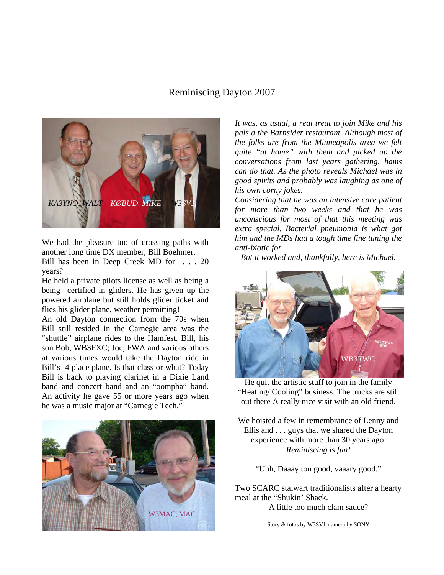### Reminiscing Dayton 2007

![](_page_12_Picture_1.jpeg)

We had the pleasure too of crossing paths with another long time DX member, Bill Boehmer. Bill has been in Deep Creek MD for . . . 20 years?

He held a private pilots license as well as being a being certified in gliders. He has given up the powered airplane but still holds glider ticket and flies his glider plane, weather permitting!

An old Dayton connection from the 70s when Bill still resided in the Carnegie area was the "shuttle" airplane rides to the Hamfest. Bill, his son Bob, WB3FXC; Joe, FWA and various others at various times would take the Dayton ride in Bill's 4 place plane. Is that class or what? Today Bill is back to playing clarinet in a Dixie Land band and concert band and an "oompha" band. An activity he gave 55 or more years ago when he was a music major at "Carnegie Tech."

![](_page_12_Picture_5.jpeg)

*It was, as usual, a real treat to join Mike and his pals a the Barnsider restaurant. Although most of the folks are from the Minneapolis area we felt quite "at home" with them and picked up the conversations from last years gathering, hams can do that. As the photo reveals Michael was in good spirits and probably was laughing as one of his own corny jokes.* 

*Considering that he was an intensive care patient for more than two weeks and that he was unconscious for most of that this meeting was extra special. Bacterial pneumonia is what got him and the MDs had a tough time fine tuning the anti-biotic for.* 

*But it worked and, thankfully, here is Michael.*

![](_page_12_Picture_9.jpeg)

He quit the artistic stuff to join in the family "Heating/ Cooling" business. The trucks are still out there A really nice visit with an old friend.

We hoisted a few in remembrance of Lenny and Ellis and . . . guys that we shared the Dayton experience with more than 30 years ago. *Reminiscing is fun!* 

"Uhh, Daaay ton good, vaaary good."

Two SCARC stalwart traditionalists after a hearty meal at the "Shukin' Shack.

A little too much clam sauce?

Story & fotos by W3SVJ, camera by SONY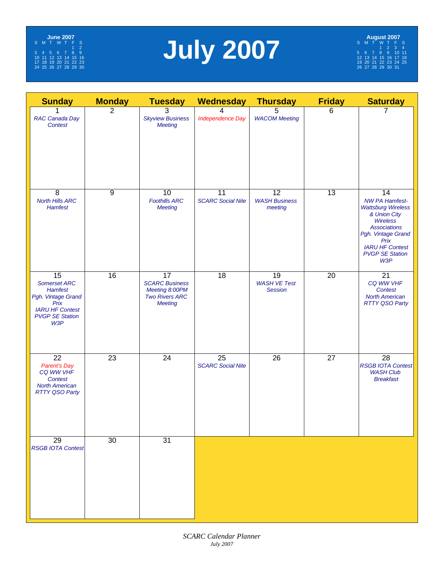![](_page_13_Picture_0.jpeg)

# **July 2007**

| <b>Sunday</b>                                                                                                                                     | <b>Monday</b>  | <b>Tuesday</b>                                                                           | <b>Wednesday</b>               | <b>Thursday</b>                             | <b>Friday</b>   | <b>Saturday</b>                                                                                                                                                                                             |
|---------------------------------------------------------------------------------------------------------------------------------------------------|----------------|------------------------------------------------------------------------------------------|--------------------------------|---------------------------------------------|-----------------|-------------------------------------------------------------------------------------------------------------------------------------------------------------------------------------------------------------|
| RAC Canada Day<br>Contest                                                                                                                         | $\overline{2}$ | 3<br><b>Skyview Business</b><br><b>Meeting</b>                                           | 4<br><b>Independence Day</b>   | 5<br><b>WACOM Meeting</b>                   | 6               | 7                                                                                                                                                                                                           |
| $\overline{8}$<br><b>North Hills ARC</b><br><b>Hamfest</b>                                                                                        | $\overline{9}$ | 10<br><b>Foothills ARC</b><br><b>Meeting</b>                                             | 11<br><b>SCARC Social Nite</b> | 12<br><b>WASH Business</b><br>meeting       | $\overline{13}$ | 14<br><b>NW PA Hamfest-</b><br><b>Wattsburg Wireless</b><br>& Union City<br><b>Wireless</b><br><b>Associations</b><br>Pgh. Vintage Grand<br>Prix<br><b>IARU HF Contest</b><br><b>PVGP SE Station</b><br>W3P |
| $\overline{15}$<br><b>Somerset ARC</b><br><b>Hamfest</b><br>Pgh. Vintage Grand<br>Prix<br><b>IARU HF Contest</b><br><b>PVGP SE Station</b><br>W3P | 16             | 17<br><b>SCARC Business</b><br>Meeting 8:00PM<br><b>Two Rivers ARC</b><br><b>Meeting</b> | 18                             | 19<br><b>WASH VE Test</b><br><b>Session</b> | 20              | 21<br>CQ WW VHF<br><b>Contest</b><br><b>North American</b><br><b>RTTY QSO Party</b>                                                                                                                         |
| 22<br><b>Parent's Day</b><br>CQ WW VHF<br><b>Contest</b><br><b>North American</b><br><b>RTTY QSO Party</b>                                        | 23             | 24                                                                                       | 25<br><b>SCARC Social Nite</b> | 26                                          | 27              | 28<br><b>RSGB IOTA Contest</b><br><b>WASH Club</b><br><b>Breakfast</b>                                                                                                                                      |
| 29<br><b>RSGB IOTA Contest</b>                                                                                                                    | 30             | $\overline{31}$                                                                          |                                |                                             |                 |                                                                                                                                                                                                             |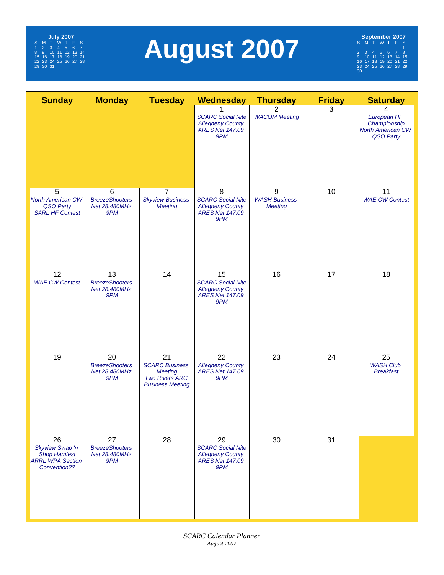![](_page_14_Picture_0.jpeg)

# **August 2007**

**September 2007**<br>
S M T W T F S<br>
2 3 4 5 6 7 8<br>
9 10 11 12 13 14 15<br>
16 17 18 19 20 21 22<br>
23 24 25 26 27 28 29<br>
30

| <b>Sunday</b><br><b>Service Service</b>                                                              | <b>Monday</b>                                                    | <b>Tuesday</b>                                                                                                 | <b>Wednesday</b>                                                                                        | <b>Thursday</b>                             | <b>Friday</b>   | <b>Saturday</b>                                                           |
|------------------------------------------------------------------------------------------------------|------------------------------------------------------------------|----------------------------------------------------------------------------------------------------------------|---------------------------------------------------------------------------------------------------------|---------------------------------------------|-----------------|---------------------------------------------------------------------------|
|                                                                                                      |                                                                  |                                                                                                                | <b>SCARC Social Nite</b><br><b>Allegheny County</b><br><b>ARES Net 147.09</b><br>9PM                    | 2<br><b>WACOM Meeting</b>                   | 3               | 4<br>European HF<br>Championship<br><b>North American CW</b><br>QSO Party |
| 5<br><b>North American CW</b><br>QSO Party<br><b>SARL HF Contest</b>                                 | 6<br><b>BreezeShooters</b><br>Net 28.480MHz<br>9PM               | $\overline{7}$<br><b>Skyview Business</b><br><b>Meeting</b>                                                    | 8<br><b>SCARC Social Nite</b><br><b>Allegheny County</b><br><b>ARES Net 147.09</b><br>9PM               | 9<br><b>WASH Business</b><br><b>Meeting</b> | 10              | 11<br><b>WAE CW Contest</b>                                               |
| $\overline{12}$<br><b>WAE CW Contest</b>                                                             | $\overline{13}$<br><b>BreezeShooters</b><br>Net 28.480MHz<br>9PM | $\overline{14}$                                                                                                | $\overline{15}$<br><b>SCARC Social Nite</b><br><b>Allegheny County</b><br><b>ARES Net 147.09</b><br>9PM | $\overline{16}$                             | $\overline{17}$ | $\overline{18}$                                                           |
| $\overline{19}$                                                                                      | $\overline{20}$<br><b>BreezeShooters</b><br>Net 28.480MHz<br>9PM | $\overline{21}$<br><b>SCARC Business</b><br><b>Meeting</b><br><b>Two Rivers ARC</b><br><b>Business Meeting</b> | $\overline{22}$<br><b>Allegheny County</b><br><b>ARES Net 147.09</b><br>9PM                             | $\overline{23}$                             | $\overline{24}$ | $\overline{25}$<br><b>WASH Club</b><br><b>Breakfast</b>                   |
| $\overline{26}$<br>Skyview Swap 'n<br><b>Shop Hamfest</b><br><b>ARRL WPA Section</b><br>Convention?? | $\overline{27}$<br><b>BreezeShooters</b><br>Net 28.480MHz<br>9PM | $\overline{28}$                                                                                                | $\overline{29}$<br><b>SCARC Social Nite</b><br><b>Allegheny County</b><br>ARES Net 147.09<br>9PM        | 30                                          | $\overline{31}$ |                                                                           |